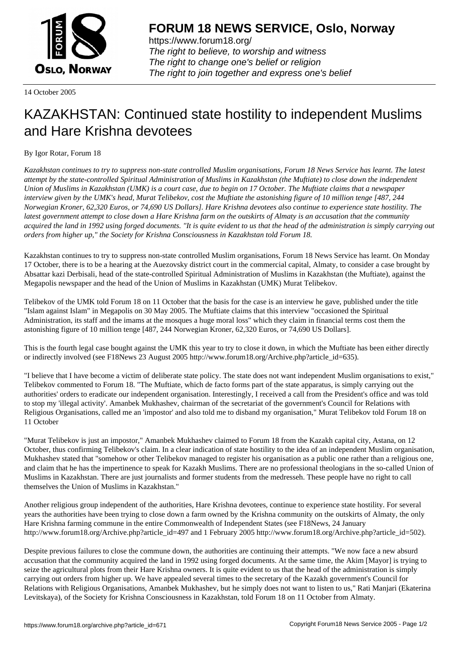

https://www.forum18.org/ The right to believe, to worship and witness The right to change one's belief or religion [The right to join together a](https://www.forum18.org/)nd express one's belief

14 October 2005

## [KAZAKHSTAN:](https://www.forum18.org) Continued state hostility to independent Muslims and Hare Krishna devotees

## By Igor Rotar, Forum 18

*Kazakhstan continues to try to suppress non-state controlled Muslim organisations, Forum 18 News Service has learnt. The latest attempt by the state-controlled Spiritual Administration of Muslims in Kazakhstan (the Muftiate) to close down the independent Union of Muslims in Kazakhstan (UMK) is a court case, due to begin on 17 October. The Muftiate claims that a newspaper interview given by the UMK's head, Murat Telibekov, cost the Muftiate the astonishing figure of 10 million tenge [487, 244 Norwegian Kroner, 62,320 Euros, or 74,690 US Dollars]. Hare Krishna devotees also continue to experience state hostility. The latest government attempt to close down a Hare Krishna farm on the outskirts of Almaty is an accusation that the community acquired the land in 1992 using forged documents. "It is quite evident to us that the head of the administration is simply carrying out orders from higher up," the Society for Krishna Consciousness in Kazakhstan told Forum 18.*

Kazakhstan continues to try to suppress non-state controlled Muslim organisations, Forum 18 News Service has learnt. On Monday 17 October, there is to be a hearing at the Auezovsky district court in the commercial capital, Almaty, to consider a case brought by Absattar kazi Derbisali, head of the state-controlled Spiritual Administration of Muslims in Kazakhstan (the Muftiate), against the Megapolis newspaper and the head of the Union of Muslims in Kazakhstan (UMK) Murat Telibekov.

Telibekov of the UMK told Forum 18 on 11 October that the basis for the case is an interview he gave, published under the title "Islam against Islam" in Megapolis on 30 May 2005. The Muftiate claims that this interview "occasioned the Spiritual Administration, its staff and the imams at the mosques a huge moral loss" which they claim in financial terms cost them the astonishing figure of 10 million tenge [487, 244 Norwegian Kroner, 62,320 Euros, or 74,690 US Dollars].

This is the fourth legal case bought against the UMK this year to try to close it down, in which the Muftiate has been either directly or indirectly involved (see F18News 23 August 2005 http://www.forum18.org/Archive.php?article\_id=635).

"I believe that I have become a victim of deliberate state policy. The state does not want independent Muslim organisations to exist," Telibekov commented to Forum 18. "The Muftiate, which de facto forms part of the state apparatus, is simply carrying out the authorities' orders to eradicate our independent organisation. Interestingly, I received a call from the President's office and was told to stop my 'illegal activity'. Amanbek Mukhashev, chairman of the secretariat of the government's Council for Relations with Religious Organisations, called me an 'impostor' and also told me to disband my organisation," Murat Telibekov told Forum 18 on 11 October

"Murat Telibekov is just an impostor," Amanbek Mukhashev claimed to Forum 18 from the Kazakh capital city, Astana, on 12 October, thus confirming Telibekov's claim. In a clear indication of state hostility to the idea of an independent Muslim organisation, Mukhashev stated that "somehow or other Telibekov managed to register his organisation as a public one rather than a religious one, and claim that he has the impertinence to speak for Kazakh Muslims. There are no professional theologians in the so-called Union of Muslims in Kazakhstan. There are just journalists and former students from the medresseh. These people have no right to call themselves the Union of Muslims in Kazakhstan."

Another religious group independent of the authorities, Hare Krishna devotees, continue to experience state hostility. For several years the authorities have been trying to close down a farm owned by the Krishna community on the outskirts of Almaty, the only Hare Krishna farming commune in the entire Commonwealth of Independent States (see F18News, 24 January http://www.forum18.org/Archive.php?article\_id=497 and 1 February 2005 http://www.forum18.org/Archive.php?article\_id=502).

Despite previous failures to close the commune down, the authorities are continuing their attempts. "We now face a new absurd accusation that the community acquired the land in 1992 using forged documents. At the same time, the Akim [Mayor] is trying to seize the agricultural plots from their Hare Krishna owners. It is quite evident to us that the head of the administration is simply carrying out orders from higher up. We have appealed several times to the secretary of the Kazakh government's Council for Relations with Religious Organisations, Amanbek Mukhashev, but he simply does not want to listen to us," Rati Manjari (Ekaterina Levitskaya), of the Society for Krishna Consciousness in Kazakhstan, told Forum 18 on 11 October from Almaty.